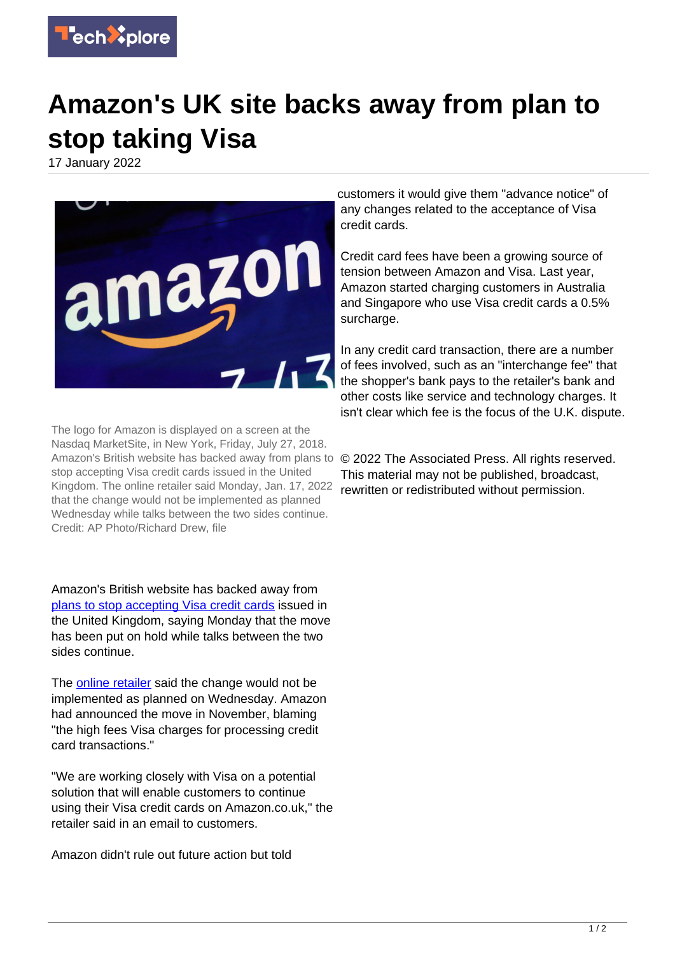

## **Amazon's UK site backs away from plan to stop taking Visa**

17 January 2022



The logo for Amazon is displayed on a screen at the Nasdaq MarketSite, in New York, Friday, July 27, 2018. Amazon's British website has backed away from plans to stop accepting Visa credit cards issued in the United Kingdom. The online retailer said Monday, Jan. 17, 2022 that the change would not be implemented as planned Wednesday while talks between the two sides continue. Credit: AP Photo/Richard Drew, file

Amazon's British website has backed away from [plans to stop accepting Visa credit cards](https://techxplore.com/news/2021-11-consumers-caught-middle-amazon-visa.html) issued in the United Kingdom, saying Monday that the move has been put on hold while talks between the two sides continue.

The [online retailer](https://techxplore.com/tags/online+retailer/) said the change would not be implemented as planned on Wednesday. Amazon had announced the move in November, blaming "the high fees Visa charges for processing credit card transactions."

"We are working closely with Visa on a potential solution that will enable customers to continue using their Visa credit cards on Amazon.co.uk," the retailer said in an email to customers.

Amazon didn't rule out future action but told

customers it would give them "advance notice" of any changes related to the acceptance of Visa credit cards.

Credit card fees have been a growing source of tension between Amazon and Visa. Last year, Amazon started charging customers in Australia and Singapore who use Visa credit cards a 0.5% surcharge.

In any credit card transaction, there are a number of fees involved, such as an "interchange fee" that the shopper's bank pays to the retailer's bank and other costs like service and technology charges. It isn't clear which fee is the focus of the U.K. dispute.

© 2022 The Associated Press. All rights reserved. This material may not be published, broadcast, rewritten or redistributed without permission.